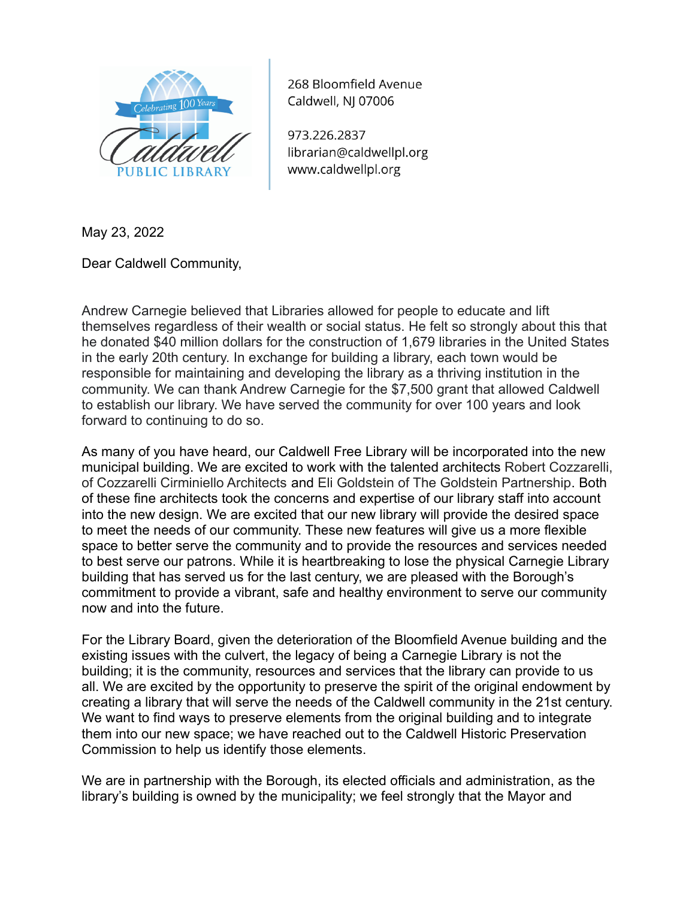

268 Bloomfield Avenue Caldwell, NJ 07006

973.226.2837 librarian@caldwellpl.org www.caldwellpl.org

May 23, 2022

Dear Caldwell Community,

Andrew Carnegie believed that Libraries allowed for people to educate and lift themselves regardless of their wealth or social status. He felt so strongly about this that he donated \$40 million dollars for the construction of 1,679 libraries in the United States in the early 20th century. In exchange for building a library, each town would be responsible for maintaining and developing the library as a thriving institution in the community. We can thank Andrew Carnegie for the \$7,500 grant that allowed Caldwell to establish our library. We have served the community for over 100 years and look forward to continuing to do so.

As many of you have heard, our Caldwell Free Library will be incorporated into the new municipal building. We are excited to work with the talented architects Robert Cozzarelli, of Cozzarelli Cirminiello Architects and Eli Goldstein of The Goldstein Partnership. Both of these fine architects took the concerns and expertise of our library staff into account into the new design. We are excited that our new library will provide the desired space to meet the needs of our community. These new features will give us a more flexible space to better serve the community and to provide the resources and services needed to best serve our patrons. While it is heartbreaking to lose the physical Carnegie Library building that has served us for the last century, we are pleased with the Borough's commitment to provide a vibrant, safe and healthy environment to serve our community now and into the future.

For the Library Board, given the deterioration of the Bloomfield Avenue building and the existing issues with the culvert, the legacy of being a Carnegie Library is not the building; it is the community, resources and services that the library can provide to us all. We are excited by the opportunity to preserve the spirit of the original endowment by creating a library that will serve the needs of the Caldwell community in the 21st century. We want to find ways to preserve elements from the original building and to integrate them into our new space; we have reached out to the Caldwell Historic Preservation Commission to help us identify those elements.

We are in partnership with the Borough, its elected officials and administration, as the library's building is owned by the municipality; we feel strongly that the Mayor and